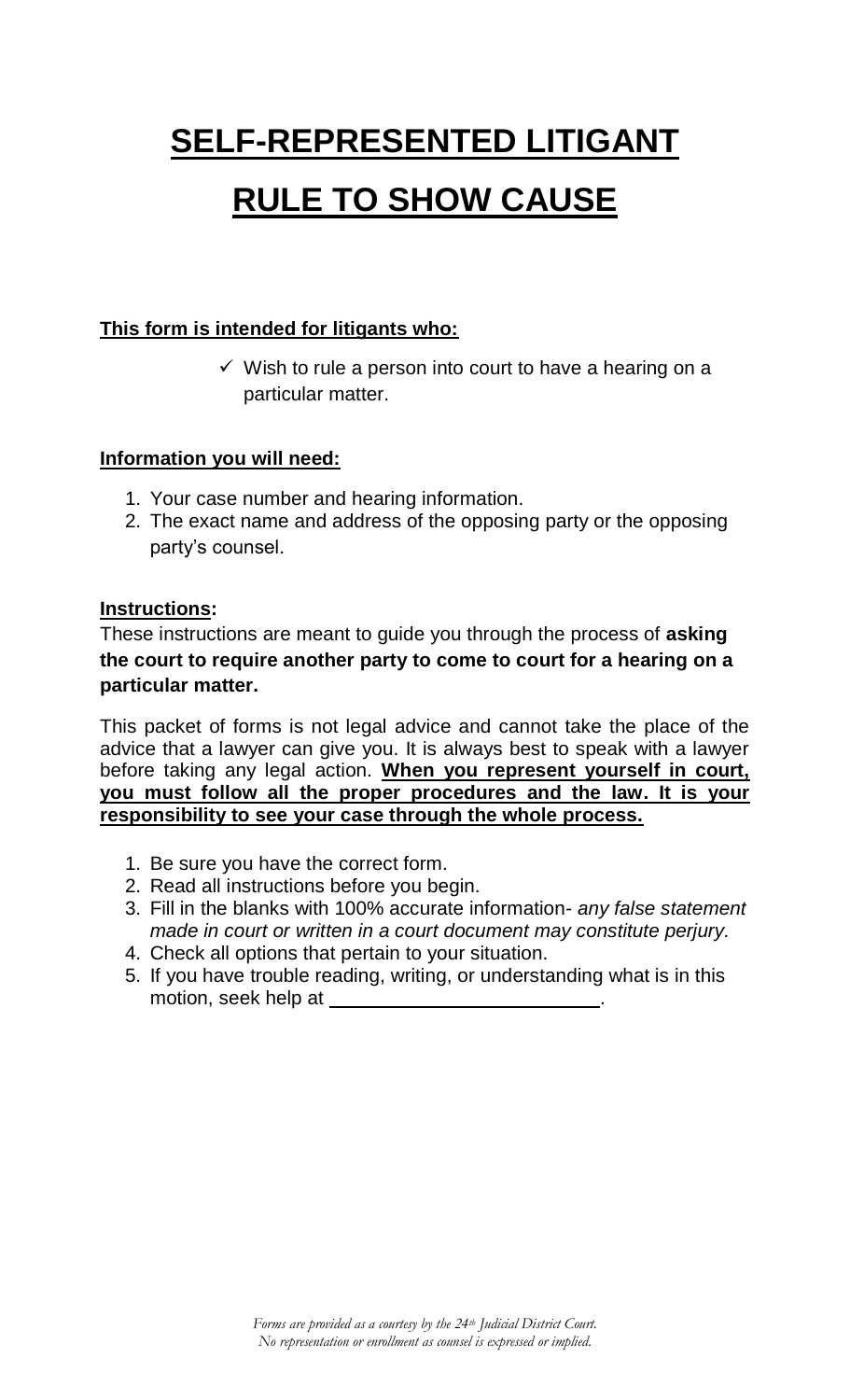## **SELF-REPRESENTED LITIGANT RULE TO SHOW CAUSE**

## **This form is intended for litigants who:**

 $\checkmark$  Wish to rule a person into court to have a hearing on a particular matter.

## **Information you will need:**

- 1. Your case number and hearing information.
- 2. The exact name and address of the opposing party or the opposing party's counsel.

## **Instructions:**

These instructions are meant to guide you through the process of **asking the court to require another party to come to court for a hearing on a particular matter.** 

This packet of forms is not legal advice and cannot take the place of the advice that a lawyer can give you. It is always best to speak with a lawyer before taking any legal action. **When you represent yourself in court, you must follow all the proper procedures and the law. It is your responsibility to see your case through the whole process.** 

- 1. Be sure you have the correct form.
- 2. Read all instructions before you begin.
- 3. Fill in the blanks with 100% accurate information- *any false statement made in court or written in a court document may constitute perjury.*
- 4. Check all options that pertain to your situation.
- 5. If you have trouble reading, writing, or understanding what is in this motion, seek help at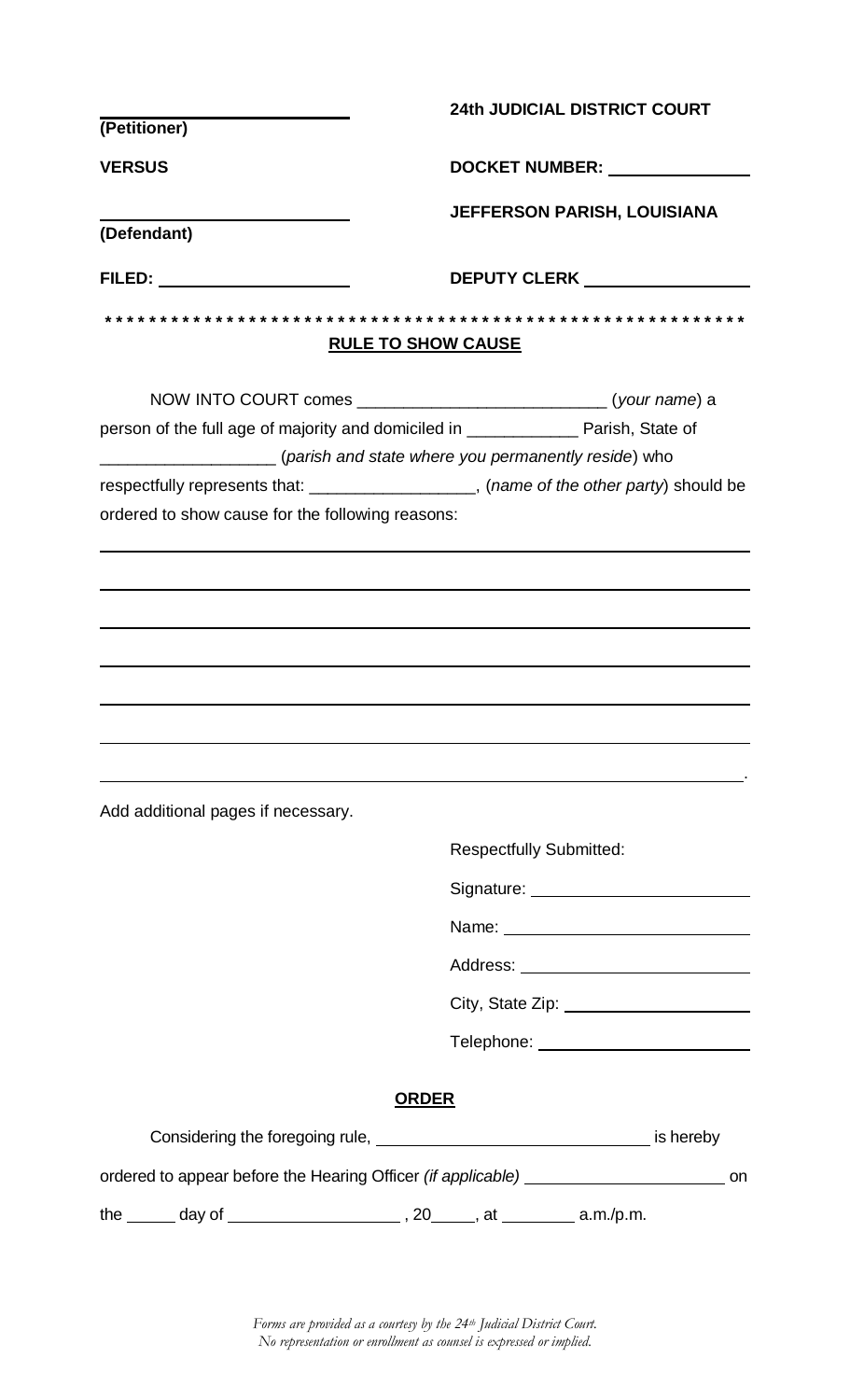|                                                  | <b>24th JUDICIAL DISTRICT COURT</b>                                                                                                                                                                                            |  |  |
|--------------------------------------------------|--------------------------------------------------------------------------------------------------------------------------------------------------------------------------------------------------------------------------------|--|--|
| (Petitioner)                                     |                                                                                                                                                                                                                                |  |  |
| <b>VERSUS</b>                                    | DOCKET NUMBER: _______________                                                                                                                                                                                                 |  |  |
|                                                  | <b>JEFFERSON PARISH, LOUISIANA</b>                                                                                                                                                                                             |  |  |
| (Defendant)                                      |                                                                                                                                                                                                                                |  |  |
| <b>FILED:</b> _____________________              | <b>DEPUTY CLERK DEPUTY OF ALL AND THE STATE OF ALL AND THE STATE OF ALL AND THE STATE OF ALL AND THE STATE OF ALL AND</b>                                                                                                      |  |  |
|                                                  |                                                                                                                                                                                                                                |  |  |
|                                                  | <b>RULE TO SHOW CAUSE</b>                                                                                                                                                                                                      |  |  |
|                                                  |                                                                                                                                                                                                                                |  |  |
|                                                  | person of the full age of majority and domiciled in _______________ Parish, State of                                                                                                                                           |  |  |
|                                                  | (parish and state where you permanently reside) who                                                                                                                                                                            |  |  |
|                                                  | respectfully represents that: ___________________, (name of the other party) should be                                                                                                                                         |  |  |
| ordered to show cause for the following reasons: |                                                                                                                                                                                                                                |  |  |
|                                                  |                                                                                                                                                                                                                                |  |  |
|                                                  |                                                                                                                                                                                                                                |  |  |
|                                                  |                                                                                                                                                                                                                                |  |  |
|                                                  |                                                                                                                                                                                                                                |  |  |
|                                                  |                                                                                                                                                                                                                                |  |  |
|                                                  |                                                                                                                                                                                                                                |  |  |
|                                                  |                                                                                                                                                                                                                                |  |  |
|                                                  |                                                                                                                                                                                                                                |  |  |
| Add additional pages if necessary.               |                                                                                                                                                                                                                                |  |  |
|                                                  |                                                                                                                                                                                                                                |  |  |
|                                                  | <b>Respectfully Submitted:</b>                                                                                                                                                                                                 |  |  |
|                                                  |                                                                                                                                                                                                                                |  |  |
|                                                  |                                                                                                                                                                                                                                |  |  |
|                                                  |                                                                                                                                                                                                                                |  |  |
|                                                  | City, State Zip: ________________________                                                                                                                                                                                      |  |  |
|                                                  | Telephone: ___________________________                                                                                                                                                                                         |  |  |
|                                                  |                                                                                                                                                                                                                                |  |  |
|                                                  | <b>ORDER</b>                                                                                                                                                                                                                   |  |  |
|                                                  | Considering the foregoing rule, example and the state of the state of the state of the state of the state of the state of the state of the state of the state of the state of the state of the state of the state of the state |  |  |
|                                                  | ordered to appear before the Hearing Officer (if applicable) ___________________<br>on                                                                                                                                         |  |  |
|                                                  |                                                                                                                                                                                                                                |  |  |